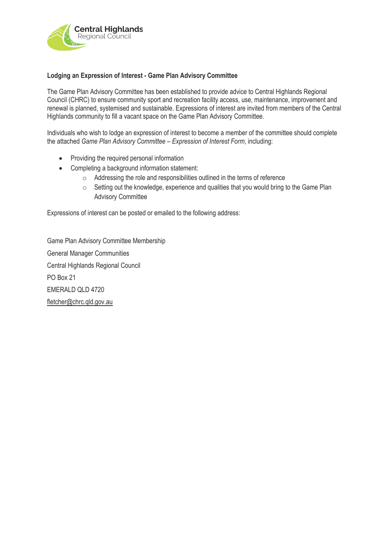

## **Lodging an Expression of Interest - Game Plan Advisory Committee**

The Game Plan Advisory Committee has been established to provide advice to Central Highlands Regional Council (CHRC) to ensure community sport and recreation facility access, use, maintenance, improvement and renewal is planned, systemised and sustainable. Expressions of interest are invited from members of the Central Highlands community to fill a vacant space on the Game Plan Advisory Committee.

Individuals who wish to lodge an expression of interest to become a member of the committee should complete the attached *Game Plan Advisory Committee – Expression of Interest Form*, including:

- Providing the required personal information
- Completing a background information statement:
	- o Addressing the role and responsibilities outlined in the terms of reference
	- o Setting out the knowledge, experience and qualities that you would bring to the Game Plan Advisory Committee

Expressions of interest can be posted or emailed to the following address:

Game Plan Advisory Committee Membership General Manager Communities Central Highlands Regional Council PO Box 21 EMERALD QLD 4720 [fletcher@chrc.qld.gov.au](mailto:fletcher@chrc.qld.gov.au)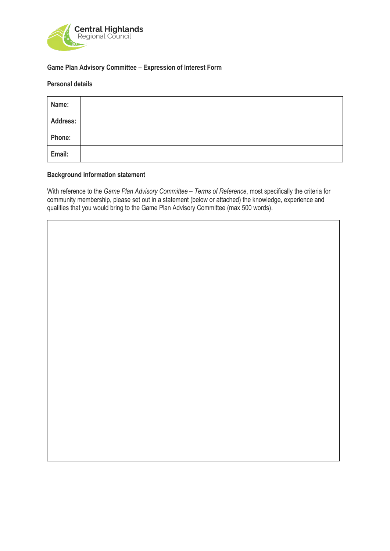

## **Game Plan Advisory Committee – Expression of Interest Form**

# **Personal details**

| Name:           |  |
|-----------------|--|
| <b>Address:</b> |  |
| Phone:          |  |
| Email:          |  |

#### **Background information statement**

With reference to the *Game Plan Advisory Committee – Terms of Reference*, most specifically the criteria for community membership, please set out in a statement (below or attached) the knowledge, experience and qualities that you would bring to the Game Plan Advisory Committee (max 500 words).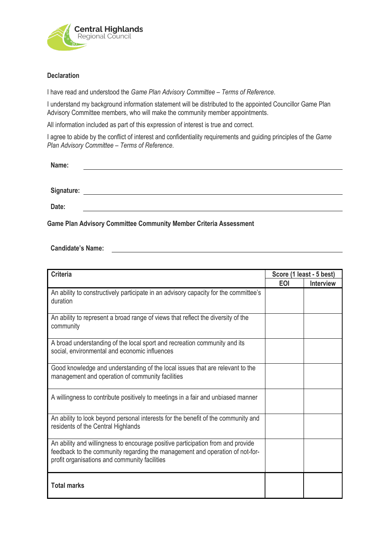

## **Declaration**

I have read and understood the *Game Plan Advisory Committee – Terms of Reference*.

I understand my background information statement will be distributed to the appointed Councillor Game Plan Advisory Committee members, who will make the community member appointments.

All information included as part of this expression of interest is true and correct.

I agree to abide by the conflict of interest and confidentiality requirements and guiding principles of the *Game Plan Advisory Committee – Terms of Reference*.

| Name:      |  |  |  |  |
|------------|--|--|--|--|
|            |  |  |  |  |
| Signature: |  |  |  |  |

**Date:**

**Game Plan Advisory Committee Community Member Criteria Assessment**

**Candidate's Name:**

| <b>Criteria</b>                                                                                                                                                                                                  | Score (1 least - 5 best) |                  |  |
|------------------------------------------------------------------------------------------------------------------------------------------------------------------------------------------------------------------|--------------------------|------------------|--|
|                                                                                                                                                                                                                  | <b>EOI</b>               | <b>Interview</b> |  |
| An ability to constructively participate in an advisory capacity for the committee's<br>duration                                                                                                                 |                          |                  |  |
| An ability to represent a broad range of views that reflect the diversity of the<br>community                                                                                                                    |                          |                  |  |
| A broad understanding of the local sport and recreation community and its<br>social, environmental and economic influences                                                                                       |                          |                  |  |
| Good knowledge and understanding of the local issues that are relevant to the<br>management and operation of community facilities                                                                                |                          |                  |  |
| A willingness to contribute positively to meetings in a fair and unbiased manner                                                                                                                                 |                          |                  |  |
| An ability to look beyond personal interests for the benefit of the community and<br>residents of the Central Highlands                                                                                          |                          |                  |  |
| An ability and willingness to encourage positive participation from and provide<br>feedback to the community regarding the management and operation of not-for-<br>profit organisations and community facilities |                          |                  |  |
| <b>Total marks</b>                                                                                                                                                                                               |                          |                  |  |